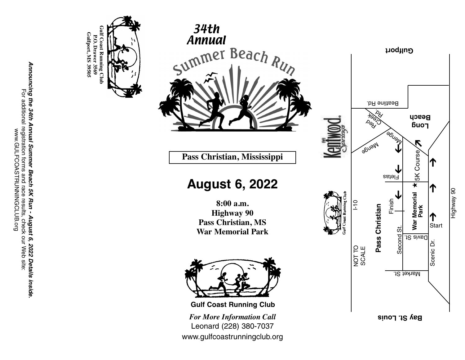





Pass Christian, Mississippi

# **A u g u s t 6 , 2 0 2 2**

**8 : 0 0 a . m . Highway** 90 Pass Christian, MS War Memorial Park



*For More Information Call* Leonard (228) 380-7037 www.gulfcoastrunningclub.org **Gulf Coast Running Club**